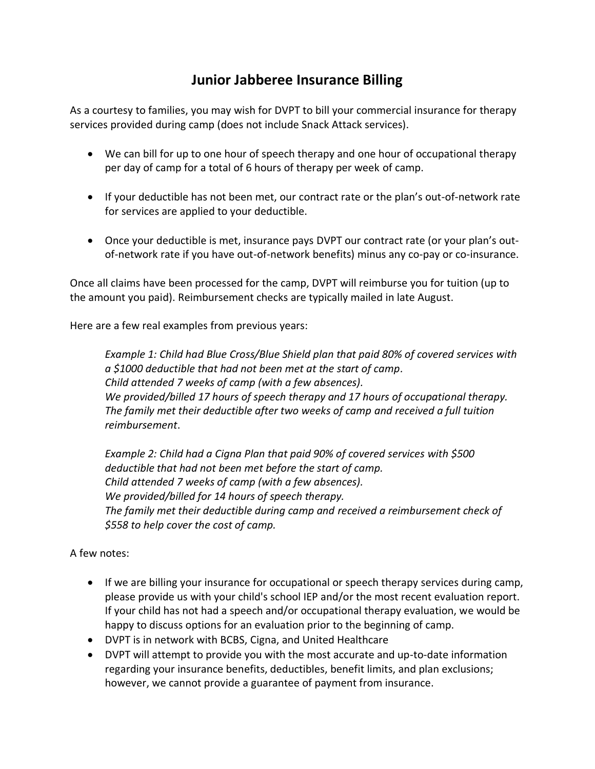## **Junior Jabberee Insurance Billing**

As a courtesy to families, you may wish for DVPT to bill your commercial insurance for therapy services provided during camp (does not include Snack Attack services).

- We can bill for up to one hour of speech therapy and one hour of occupational therapy per day of camp for a total of 6 hours of therapy per week of camp.
- If your deductible has not been met, our contract rate or the plan's out-of-network rate for services are applied to your deductible.
- Once your deductible is met, insurance pays DVPT our contract rate (or your plan's outof-network rate if you have out-of-network benefits) minus any co-pay or co-insurance.

Once all claims have been processed for the camp, DVPT will reimburse you for tuition (up to the amount you paid). Reimbursement checks are typically mailed in late August.

Here are a few real examples from previous years:

*Example 1: Child had Blue Cross/Blue Shield plan that paid 80% of covered services with a \$1000 deductible that had not been met at the start of camp. Child attended 7 weeks of camp (with a few absences). We provided/billed 17 hours of speech therapy and 17 hours of occupational therapy. The family met their deductible after two weeks of camp and received a full tuition reimbursement*.

*Example 2: Child had a Cigna Plan that paid 90% of covered services with \$500 deductible that had not been met before the start of camp. Child attended 7 weeks of camp (with a few absences). We provided/billed for 14 hours of speech therapy. The family met their deductible during camp and received a reimbursement check of \$558 to help cover the cost of camp.*

## A few notes:

- If we are billing your insurance for occupational or speech therapy services during camp, please provide us with your child's school IEP and/or the most recent evaluation report. If your child has not had a speech and/or occupational therapy evaluation, we would be happy to discuss options for an evaluation prior to the beginning of camp.
- DVPT is in network with BCBS, Cigna, and United Healthcare
- DVPT will attempt to provide you with the most accurate and up-to-date information regarding your insurance benefits, deductibles, benefit limits, and plan exclusions; however, we cannot provide a guarantee of payment from insurance.